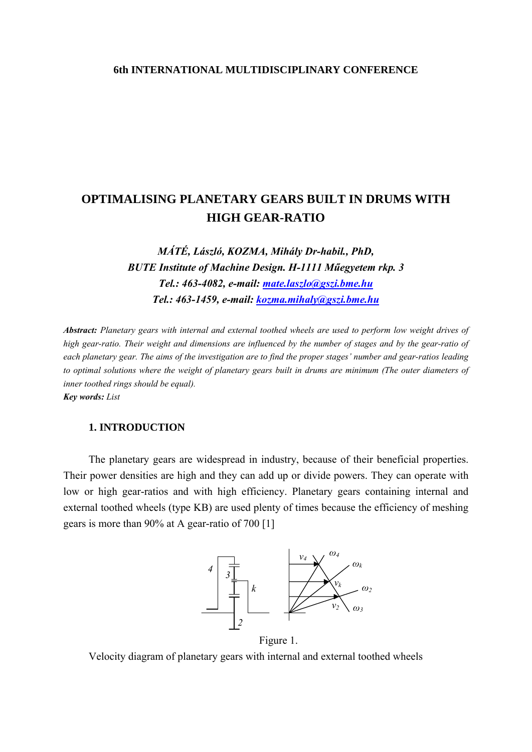#### **6th INTERNATIONAL MULTIDISCIPLINARY CONFERENCE**

# **OPTIMALISING PLANETARY GEARS BUILT IN DRUMS WITH HIGH GEAR-RATIO**

*MÁTÉ, László, KOZMA, Mihály Dr-habil., PhD, BUTE Institute of Machine Design. H-1111 Műegyetem rkp. 3 Tel.: 463-4082, e-mail: [mate.laszlo@gszi.bme.hu](mailto:mate.laszlo@gszi.bme.hu) Tel.: 463-1459, e-mail: [kozma.mihaly@gszi.bme.hu](mailto:kozma.mihaly@gszi.bme.hu)*

*Abstract: Planetary gears with internal and external toothed wheels are used to perform low weight drives of high gear-ratio. Their weight and dimensions are influenced by the number of stages and by the gear-ratio of each planetary gear. The aims of the investigation are to find the proper stages' number and gear-ratios leading to optimal solutions where the weight of planetary gears built in drums are minimum (The outer diameters of inner toothed rings should be equal).* 

*Key words: List* 

### **1. INTRODUCTION**

The planetary gears are widespread in industry, because of their beneficial properties. Their power densities are high and they can add up or divide powers. They can operate with low or high gear-ratios and with high efficiency. Planetary gears containing internal and external toothed wheels (type KB) are used plenty of times because the efficiency of meshing gears is more than 90% at A gear-ratio of 700 [1]



Figure 1.

Velocity diagram of planetary gears with internal and external toothed wheels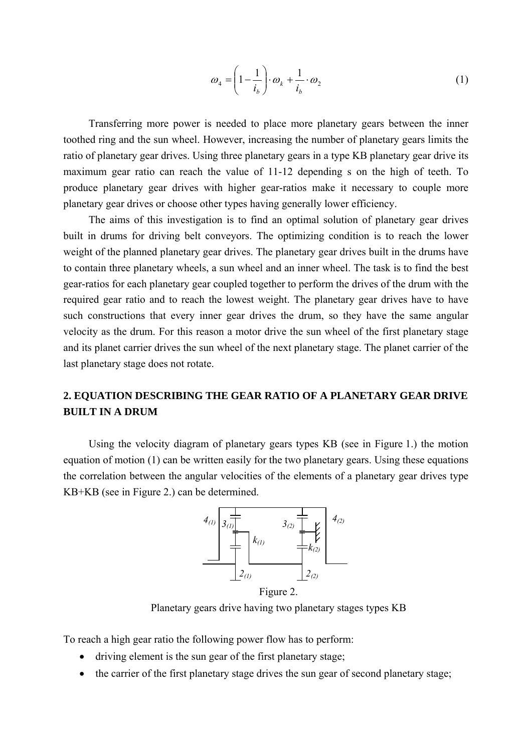$$
\omega_4 = \left(1 - \frac{1}{i_b}\right) \cdot \omega_k + \frac{1}{i_b} \cdot \omega_2 \tag{1}
$$

Transferring more power is needed to place more planetary gears between the inner toothed ring and the sun wheel. However, increasing the number of planetary gears limits the ratio of planetary gear drives. Using three planetary gears in a type KB planetary gear drive its maximum gear ratio can reach the value of 11-12 depending s on the high of teeth. To produce planetary gear drives with higher gear-ratios make it necessary to couple more planetary gear drives or choose other types having generally lower efficiency.

The aims of this investigation is to find an optimal solution of planetary gear drives built in drums for driving belt conveyors. The optimizing condition is to reach the lower weight of the planned planetary gear drives. The planetary gear drives built in the drums have to contain three planetary wheels, a sun wheel and an inner wheel. The task is to find the best gear-ratios for each planetary gear coupled together to perform the drives of the drum with the required gear ratio and to reach the lowest weight. The planetary gear drives have to have such constructions that every inner gear drives the drum, so they have the same angular velocity as the drum. For this reason a motor drive the sun wheel of the first planetary stage and its planet carrier drives the sun wheel of the next planetary stage. The planet carrier of the last planetary stage does not rotate.

## **2. EQUATION DESCRIBING THE GEAR RATIO OF A PLANETARY GEAR DRIVE BUILT IN A DRUM**

Using the velocity diagram of planetary gears types KB (see in Figure 1.) the motion equation of motion (1) can be written easily for the two planetary gears. Using these equations the correlation between the angular velocities of the elements of a planetary gear drives type KB+KB (see in Figure 2.) can be determined.



Planetary gears drive having two planetary stages types KB

To reach a high gear ratio the following power flow has to perform:

- driving element is the sun gear of the first planetary stage;
- the carrier of the first planetary stage drives the sun gear of second planetary stage;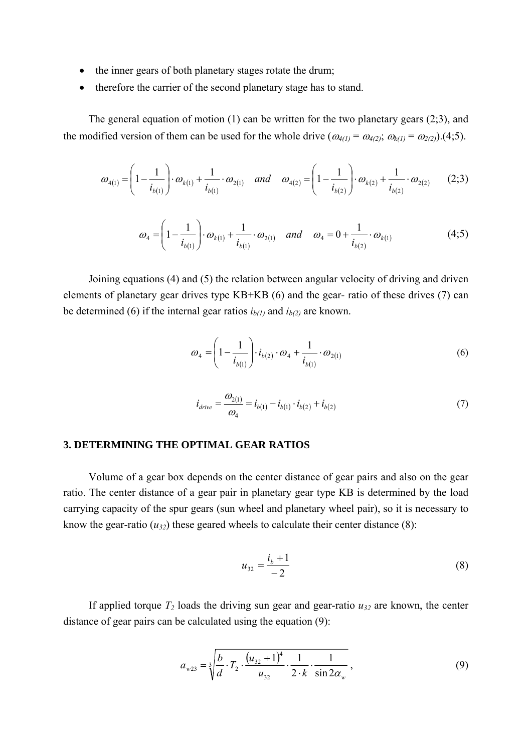- the inner gears of both planetary stages rotate the drum;
- therefore the carrier of the second planetary stage has to stand.

The general equation of motion (1) can be written for the two planetary gears (2;3), and the modified version of them can be used for the whole drive  $(\omega_{4(1)} = \omega_{4(2)}; \omega_{k(1)} = \omega_{2(2)}$ ).(4;5).

$$
\omega_{4(1)} = \left(1 - \frac{1}{i_{b(1)}}\right) \cdot \omega_{k(1)} + \frac{1}{i_{b(1)}} \cdot \omega_{2(1)} \quad \text{and} \quad \omega_{4(2)} = \left(1 - \frac{1}{i_{b(2)}}\right) \cdot \omega_{k(2)} + \frac{1}{i_{b(2)}} \cdot \omega_{2(2)} \tag{2.3}
$$

$$
\omega_4 = \left(1 - \frac{1}{i_{b(1)}}\right) \cdot \omega_{k(1)} + \frac{1}{i_{b(1)}} \cdot \omega_{2(1)} \quad \text{and} \quad \omega_4 = 0 + \frac{1}{i_{b(2)}} \cdot \omega_{k(1)} \tag{4.5}
$$

Joining equations (4) and (5) the relation between angular velocity of driving and driven elements of planetary gear drives type KB+KB (6) and the gear- ratio of these drives (7) can be determined (6) if the internal gear ratios  $i_{b(1)}$  and  $i_{b(2)}$  are known.

$$
\omega_4 = \left(1 - \frac{1}{i_{b(1)}}\right) \cdot i_{b(2)} \cdot \omega_4 + \frac{1}{i_{b(1)}} \cdot \omega_{2(1)} \tag{6}
$$

$$
i_{drive} = \frac{\omega_{2(1)}}{\omega_4} = i_{b(1)} - i_{b(1)} \cdot i_{b(2)} + i_{b(2)}
$$
\n(7)

#### **3. DETERMINING THE OPTIMAL GEAR RATIOS**

Volume of a gear box depends on the center distance of gear pairs and also on the gear ratio. The center distance of a gear pair in planetary gear type KB is determined by the load carrying capacity of the spur gears (sun wheel and planetary wheel pair), so it is necessary to know the gear-ratio  $(u_{32})$  these geared wheels to calculate their center distance (8):

$$
u_{32} = \frac{i_b + 1}{-2} \tag{8}
$$

If applied torque  $T_2$  loads the driving sun gear and gear-ratio  $u_{32}$  are known, the center distance of gear pairs can be calculated using the equation (9):

$$
a_{w23} = \sqrt[3]{\frac{b}{d} \cdot T_2 \cdot \frac{(u_{32} + 1)^4}{u_{32}} \cdot \frac{1}{2 \cdot k} \cdot \frac{1}{\sin 2\alpha_w}},
$$
(9)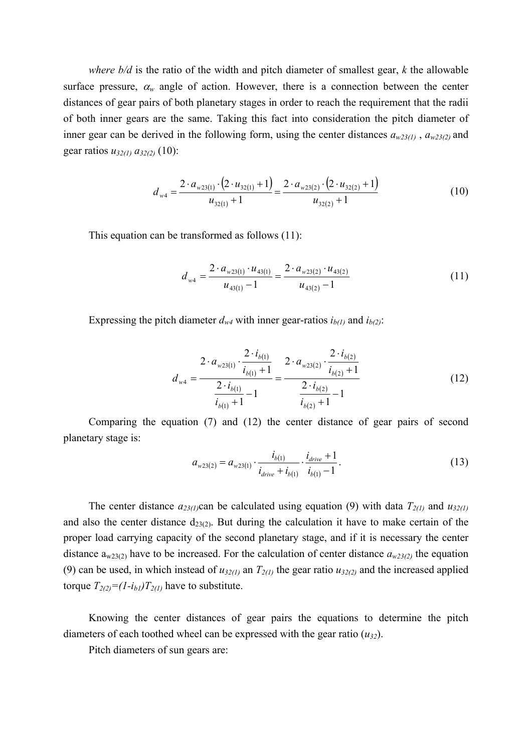*where b/d* is the ratio of the width and pitch diameter of smallest gear, *k* the allowable surface pressure,  $\alpha_w$  angle of action. However, there is a connection between the center distances of gear pairs of both planetary stages in order to reach the requirement that the radii of both inner gears are the same. Taking this fact into consideration the pitch diameter of inner gear can be derived in the following form, using the center distances  $a_{w23(1)}$ ,  $a_{w23(2)}$  and gear ratios *u32(1) a32(2)* (10):

$$
d_{w4} = \frac{2 \cdot a_{w23(1)} \cdot (2 \cdot u_{32(1)} + 1)}{u_{32(1)} + 1} = \frac{2 \cdot a_{w23(2)} \cdot (2 \cdot u_{32(2)} + 1)}{u_{32(2)} + 1}
$$
(10)

This equation can be transformed as follows (11):

$$
d_{w4} = \frac{2 \cdot a_{w23(1)} \cdot u_{43(1)}}{u_{43(1)} - 1} = \frac{2 \cdot a_{w23(2)} \cdot u_{43(2)}}{u_{43(2)} - 1}
$$
(11)

Expressing the pitch diameter  $d_{w4}$  with inner gear-ratios  $i_{b(1)}$  and  $i_{b(2)}$ :

$$
d_{w4} = \frac{2 \cdot a_{w23(1)} \cdot \frac{2 \cdot i_{b(1)}}{i_{b(1)} + 1}}{\frac{2 \cdot i_{b(1)}}{i_{b(1)} + 1} - 1} = \frac{2 \cdot a_{w23(2)} \cdot \frac{2 \cdot i_{b(2)}}{i_{b(2)} + 1}}{\frac{2 \cdot i_{b(2)}}{i_{b(2)} + 1} - 1}
$$
(12)

Comparing the equation (7) and (12) the center distance of gear pairs of second planetary stage is:

$$
a_{w23(2)} = a_{w23(1)} \cdot \frac{i_{b(1)}}{i_{drive} + i_{b(1)}} \cdot \frac{i_{drive} + 1}{i_{b(1)} - 1} \,. \tag{13}
$$

The center distance  $a_{23(1)}$ can be calculated using equation (9) with data  $T_{2(1)}$  and  $u_{32(1)}$ and also the center distance  $d_{23(2)}$ . But during the calculation it have to make certain of the proper load carrying capacity of the second planetary stage, and if it is necessary the center distance  $a_{w23(2)}$  have to be increased. For the calculation of center distance  $a_{w23(2)}$  the equation (9) can be used, in which instead of  $u_{32(1)}$  an  $T_{2(1)}$  the gear ratio  $u_{32(2)}$  and the increased applied torque  $T_{2(2)} = (1 - i_{b1})T_{2(1)}$  have to substitute.

Knowing the center distances of gear pairs the equations to determine the pitch diameters of each toothed wheel can be expressed with the gear ratio  $(u_{32})$ .

Pitch diameters of sun gears are: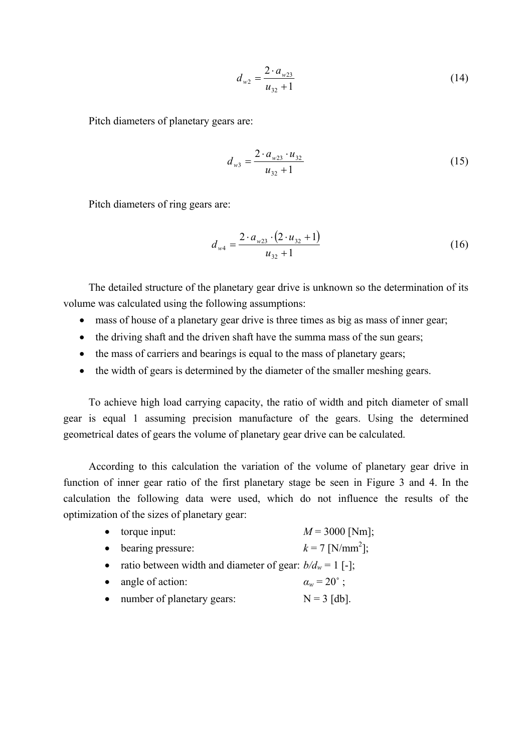$$
d_{w2} = \frac{2 \cdot a_{w23}}{u_{32} + 1} \tag{14}
$$

Pitch diameters of planetary gears are:

$$
d_{w3} = \frac{2 \cdot a_{w23} \cdot u_{32}}{u_{32} + 1} \tag{15}
$$

Pitch diameters of ring gears are:

$$
d_{w4} = \frac{2 \cdot a_{w23} \cdot (2 \cdot u_{32} + 1)}{u_{32} + 1} \tag{16}
$$

The detailed structure of the planetary gear drive is unknown so the determination of its volume was calculated using the following assumptions:

- mass of house of a planetary gear drive is three times as big as mass of inner gear;
- the driving shaft and the driven shaft have the summa mass of the sun gears;
- the mass of carriers and bearings is equal to the mass of planetary gears;
- the width of gears is determined by the diameter of the smaller meshing gears.

To achieve high load carrying capacity, the ratio of width and pitch diameter of small gear is equal 1 assuming precision manufacture of the gears. Using the determined geometrical dates of gears the volume of planetary gear drive can be calculated.

According to this calculation the variation of the volume of planetary gear drive in function of inner gear ratio of the first planetary stage be seen in Figure 3 and 4. In the calculation the following data were used, which do not influence the results of the optimization of the sizes of planetary gear:

- torque input:  $M = 3000$  [Nm];
- bearing pressure:  $k = 7$  [N/mm<sup>2</sup>];
- ratio between width and diameter of gear:  $b/d_w = 1$  [-];
- angle of action:  $\alpha_w = 20^\circ$ ;
- number of planetary gears:  $N = 3$  [db].